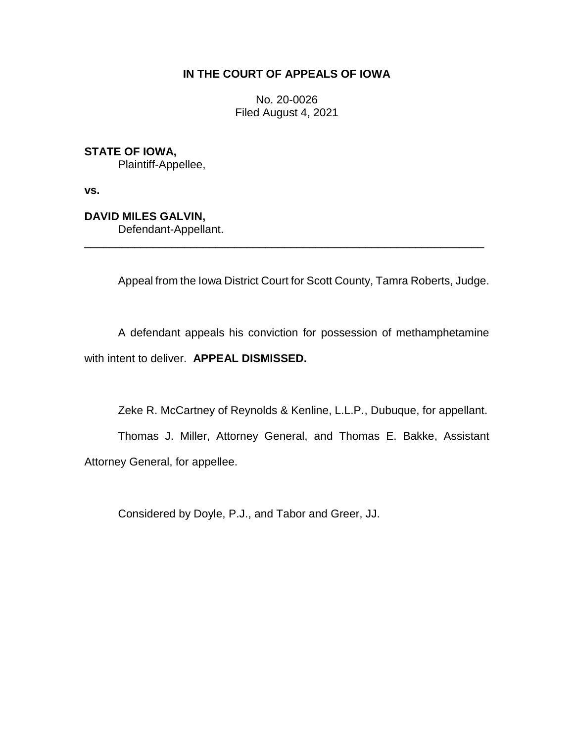## **IN THE COURT OF APPEALS OF IOWA**

No. 20-0026 Filed August 4, 2021

**STATE OF IOWA,**

Plaintiff-Appellee,

**vs.**

**DAVID MILES GALVIN,**

Defendant-Appellant.

Appeal from the Iowa District Court for Scott County, Tamra Roberts, Judge.

A defendant appeals his conviction for possession of methamphetamine with intent to deliver. **APPEAL DISMISSED.**

\_\_\_\_\_\_\_\_\_\_\_\_\_\_\_\_\_\_\_\_\_\_\_\_\_\_\_\_\_\_\_\_\_\_\_\_\_\_\_\_\_\_\_\_\_\_\_\_\_\_\_\_\_\_\_\_\_\_\_\_\_\_\_\_

Zeke R. McCartney of Reynolds & Kenline, L.L.P., Dubuque, for appellant.

Thomas J. Miller, Attorney General, and Thomas E. Bakke, Assistant Attorney General, for appellee.

Considered by Doyle, P.J., and Tabor and Greer, JJ.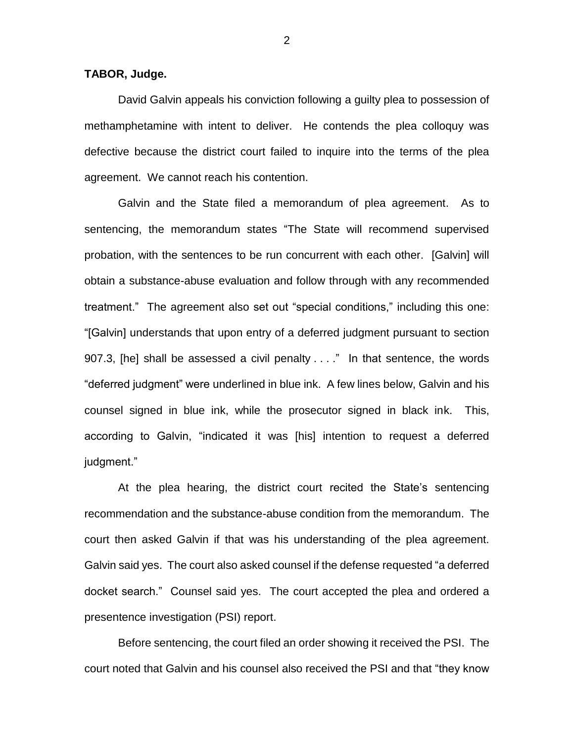**TABOR, Judge.**

David Galvin appeals his conviction following a guilty plea to possession of methamphetamine with intent to deliver. He contends the plea colloquy was defective because the district court failed to inquire into the terms of the plea agreement. We cannot reach his contention.

Galvin and the State filed a memorandum of plea agreement. As to sentencing, the memorandum states "The State will recommend supervised probation, with the sentences to be run concurrent with each other. [Galvin] will obtain a substance-abuse evaluation and follow through with any recommended treatment." The agreement also set out "special conditions," including this one: "[Galvin] understands that upon entry of a deferred judgment pursuant to section 907.3, [he] shall be assessed a civil penalty . . . ." In that sentence, the words "deferred judgment" were underlined in blue ink. A few lines below, Galvin and his counsel signed in blue ink, while the prosecutor signed in black ink. This, according to Galvin, "indicated it was [his] intention to request a deferred judgment."

At the plea hearing, the district court recited the State's sentencing recommendation and the substance-abuse condition from the memorandum. The court then asked Galvin if that was his understanding of the plea agreement. Galvin said yes. The court also asked counsel if the defense requested "a deferred docket search." Counsel said yes. The court accepted the plea and ordered a presentence investigation (PSI) report.

Before sentencing, the court filed an order showing it received the PSI. The court noted that Galvin and his counsel also received the PSI and that "they know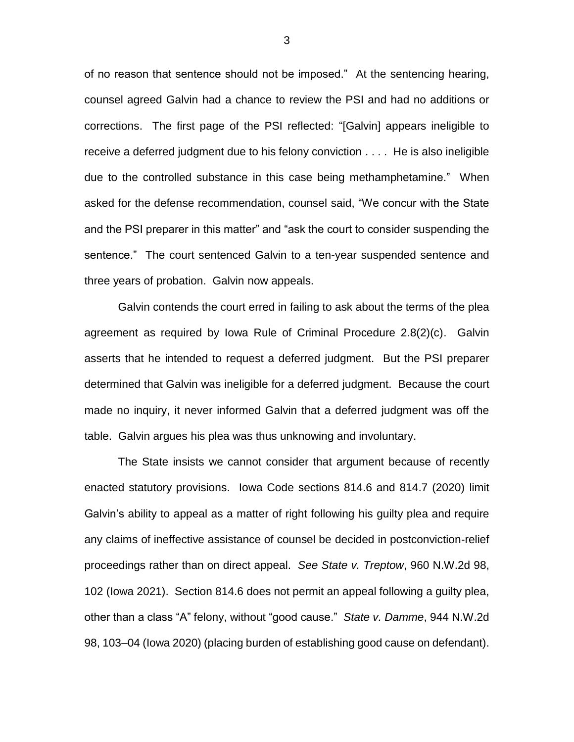of no reason that sentence should not be imposed." At the sentencing hearing, counsel agreed Galvin had a chance to review the PSI and had no additions or corrections. The first page of the PSI reflected: "[Galvin] appears ineligible to receive a deferred judgment due to his felony conviction . . . . He is also ineligible due to the controlled substance in this case being methamphetamine." When asked for the defense recommendation, counsel said, "We concur with the State and the PSI preparer in this matter" and "ask the court to consider suspending the sentence." The court sentenced Galvin to a ten-year suspended sentence and three years of probation. Galvin now appeals.

Galvin contends the court erred in failing to ask about the terms of the plea agreement as required by Iowa Rule of Criminal Procedure 2.8(2)(c). Galvin asserts that he intended to request a deferred judgment. But the PSI preparer determined that Galvin was ineligible for a deferred judgment. Because the court made no inquiry, it never informed Galvin that a deferred judgment was off the table. Galvin argues his plea was thus unknowing and involuntary.

The State insists we cannot consider that argument because of recently enacted statutory provisions. Iowa Code sections 814.6 and 814.7 (2020) limit Galvin's ability to appeal as a matter of right following his guilty plea and require any claims of ineffective assistance of counsel be decided in postconviction-relief proceedings rather than on direct appeal. *See State v. Treptow*, 960 N.W.2d 98, 102 (Iowa 2021). Section 814.6 does not permit an appeal following a guilty plea, other than a class "A" felony, without "good cause." *State v. Damme*, 944 N.W.2d 98, 103–04 (Iowa 2020) (placing burden of establishing good cause on defendant).

3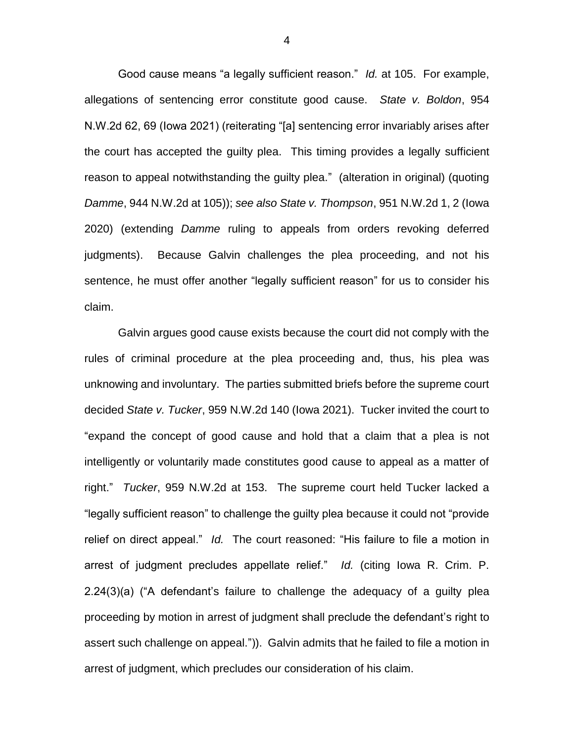Good cause means "a legally sufficient reason." *Id.* at 105. For example, allegations of sentencing error constitute good cause. *State v. Boldon*, 954 N.W.2d 62, 69 (Iowa 2021) (reiterating "[a] sentencing error invariably arises after the court has accepted the guilty plea. This timing provides a legally sufficient reason to appeal notwithstanding the guilty plea." (alteration in original) (quoting *Damme*, 944 N.W.2d at 105)); *see also State v. Thompson*, 951 N.W.2d 1, 2 (Iowa 2020) (extending *Damme* ruling to appeals from orders revoking deferred judgments). Because Galvin challenges the plea proceeding, and not his sentence, he must offer another "legally sufficient reason" for us to consider his claim.

Galvin argues good cause exists because the court did not comply with the rules of criminal procedure at the plea proceeding and, thus, his plea was unknowing and involuntary. The parties submitted briefs before the supreme court decided *State v. Tucker*, 959 N.W.2d 140 (Iowa 2021). Tucker invited the court to "expand the concept of good cause and hold that a claim that a plea is not intelligently or voluntarily made constitutes good cause to appeal as a matter of right." *Tucker*, 959 N.W.2d at 153. The supreme court held Tucker lacked a "legally sufficient reason" to challenge the guilty plea because it could not "provide relief on direct appeal." *Id.* The court reasoned: "His failure to file a motion in arrest of judgment precludes appellate relief." *Id.* (citing Iowa R. Crim. P. 2.24(3)(a) ("A defendant's failure to challenge the adequacy of a guilty plea proceeding by motion in arrest of judgment shall preclude the defendant's right to assert such challenge on appeal.")). Galvin admits that he failed to file a motion in arrest of judgment, which precludes our consideration of his claim.